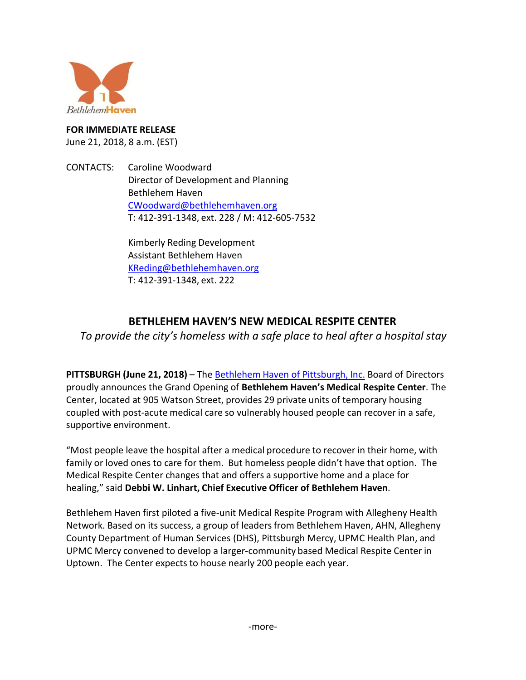

# **FOR IMMEDIATE RELEASE**

June 21, 2018, 8 a.m. (EST)

CONTACTS: Caroline Woodward Director of Development and Planning Bethlehem Haven [CWoodward@bethlehemhaven.org](mailto:CWoodward@bethlehemhaven.org) T: 412-391-1348, ext. 228 / M: 412-605-7532

> Kimberly Reding Development Assistant Bethlehem Haven [KReding@bethlehemhaven.org](mailto:KReding@bethlehemhaven.org) T: 412-391-1348, ext. 222

## **BETHLEHEM HAVEN'S NEW MEDICAL RESPITE CENTER**

*To provide the city's homeless with a safe place to heal after a hospital stay*

**PITTSBURGH (June 21, 2018)** – The [Bethlehem](https://www.bethlehemhaven.org/) Haven of Pittsburgh, Inc. Board of Directors proudly announces the Grand Opening of **Bethlehem Haven's Medical Respite Center**. The Center, located at 905 Watson Street, provides 29 private units of temporary housing coupled with post-acute medical care so vulnerably housed people can recover in a safe, supportive environment.

"Most people leave the hospital after a medical procedure to recover in their home, with family or loved ones to care for them. But homeless people didn't have that option. The Medical Respite Center changes that and offers a supportive home and a place for healing," said **Debbi W. Linhart, Chief Executive Officer of Bethlehem Haven**.

Bethlehem Haven first piloted a five-unit Medical Respite Program with Allegheny Health Network. Based on its success, a group of leaders from Bethlehem Haven, AHN, Allegheny County Department of Human Services (DHS), Pittsburgh Mercy, UPMC Health Plan, and UPMC Mercy convened to develop a larger-community based Medical Respite Center in Uptown. The Center expects to house nearly 200 people each year.